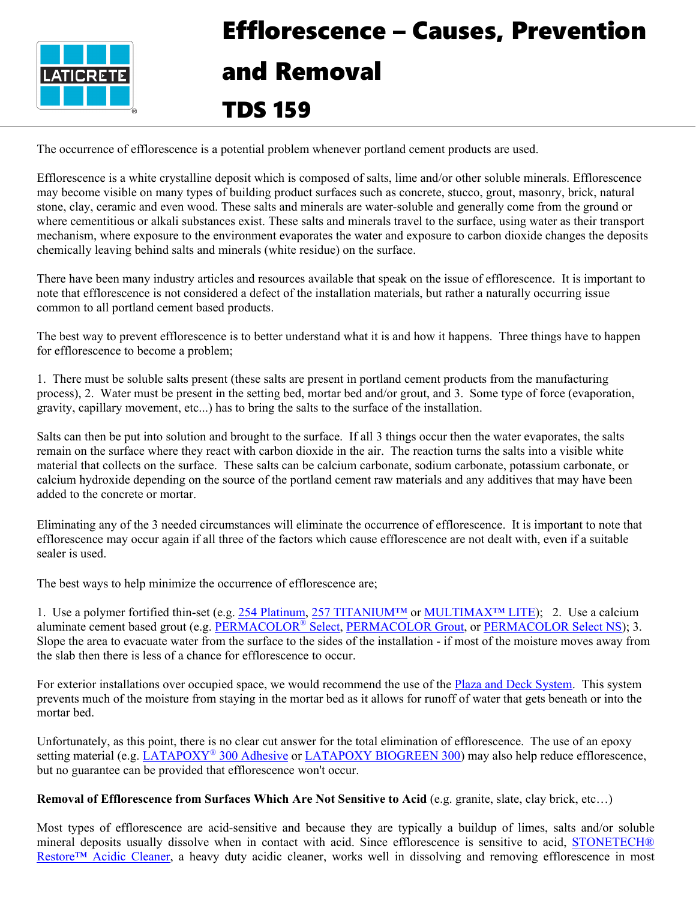

## Efflorescence – Causes, Prevention and Removal TDS 159

The occurrence of efflorescence is a potential problem whenever portland cement products are used.

Efflorescence is a white crystalline deposit which is composed of salts, lime and/or other soluble minerals. Efflorescence may become visible on many types of building product surfaces such as concrete, stucco, grout, masonry, brick, natural stone, clay, ceramic and even wood. These salts and minerals are water-soluble and generally come from the ground or where cementitious or alkali substances exist. These salts and minerals travel to the surface, using water as their transport mechanism, where exposure to the environment evaporates the water and exposure to carbon dioxide changes the deposits chemically leaving behind salts and minerals (white residue) on the surface.

There have been many industry articles and resources available that speak on the issue of efflorescence. It is important to note that efflorescence is not considered a defect of the installation materials, but rather a naturally occurring issue common to all portland cement based products.

The best way to prevent efflorescence is to better understand what it is and how it happens. Three things have to happen for efflorescence to become a problem;

1. There must be soluble salts present (these salts are present in portland cement products from the manufacturing process), 2. Water must be present in the setting bed, mortar bed and/or grout, and 3. Some type of force (evaporation, gravity, capillary movement, etc...) has to bring the salts to the surface of the installation.

Salts can then be put into solution and brought to the surface. If all 3 things occur then the water evaporates, the salts remain on the surface where they react with carbon dioxide in the air. The reaction turns the salts into a visible white material that collects on the surface. These salts can be calcium carbonate, sodium carbonate, potassium carbonate, or calcium hydroxide depending on the source of the portland cement raw materials and any additives that may have been added to the concrete or mortar.

Eliminating any of the 3 needed circumstances will eliminate the occurrence of efflorescence. It is important to note that efflorescence may occur again if all three of the factors which cause efflorescence are not dealt with, even if a suitable sealer is used.

The best ways to help minimize the occurrence of efflorescence are;

1. Use a polymer fortified thin-set (e.g. [254 Platinum,](https://cdn.laticrete.com/%7E/media/product-documents/product-data-sheets/ds-677.ashx) [257 TITANIUM™](https://cdn.laticrete.com/%7E/media/product-documents/product-data-sheets/ds-292.ashx) or [MULTIMAX™ LITE\)](https://cdn.laticrete.com/%7E/media/product-documents/product-data-sheets/ds-34082.ashx); 2. Use a calcium aluminate cement based grout (e.g. [PERMACOLOR](https://cdn.laticrete.com/%7E/media/product-documents/product-data-sheets/ds-281.ashx)<sup>®</sup> Select, [PERMACOLOR Grout,](https://cdn.laticrete.com/%7E/media/product-documents/product-data-sheets/lds2500_permacolor-grout.ashx) or [PERMACOLOR Select NS\)](https://cdn.laticrete.com/%7E/media/product-documents/product-data-sheets/ds-116.ashx); 3. Slope the area to evacuate water from the surface to the sides of the installation - if most of the moisture moves away from the slab then there is less of a chance for efflorescence to occur.

For exterior installations over occupied space, we would recommend the use of the [Plaza and Deck System.](https://cdn.laticrete.com/%7E/media/product-documents/product-data-sheets/lds2900_plaza-deck-system.ashx) This system prevents much of the moisture from staying in the mortar bed as it allows for runoff of water that gets beneath or into the mortar bed.

Unfortunately, as this point, there is no clear cut answer for the total elimination of efflorescence. The use of an epoxy setting material (e.g. [LATAPOXY](https://cdn.laticrete.com/%7E/media/product-documents/product-data-sheets/lds6330_latapoxy-300-adhesive.ashx)<sup>®</sup> 300 Adhesive or [LATAPOXY BIOGREEN 300\)](https://cdn.laticrete.com/%7E/media/product-documents/product-data-sheets/lds0230_latapoxy-biogreen-300-adhesive.ashx) may also help reduce efflorescence, but no guarantee can be provided that efflorescence won't occur.

**Removal of Efflorescence from Surfaces Which Are Not Sensitive to Acid** (e.g. granite, slate, clay brick, etc…)

Most types of efflorescence are acid-sensitive and because they are typically a buildup of limes, salts and/or soluble mineral deposits usually dissolve when in contact with acid. Since efflorescence is sensitive to acid, [STONETECH®](https://cdn.laticrete.com/%7E/media/product-documents/product-data-sheets/ds-216.ashx)  [Restore™ Acidic Cleaner,](https://cdn.laticrete.com/%7E/media/product-documents/product-data-sheets/ds-216.ashx) a heavy duty acidic cleaner, works well in dissolving and removing efflorescence in most